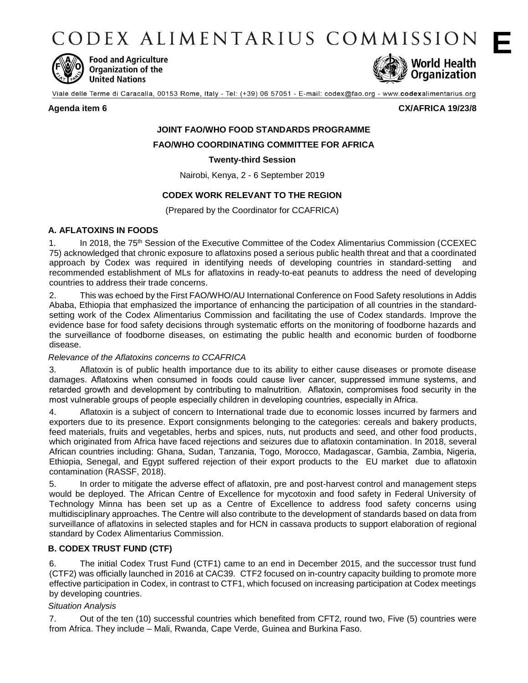CODEX ALIMENTARIUS COMMISSION



**Food and Agriculture Organization of the United Nations** 



Viale delle Terme di Caracalla, 00153 Rome, Italy - Tel: (+39) 06 57051 - E-mail: codex@fao.org - www.codexalimentarius.org

**Agenda item 6 CX/AFRICA 19/23/8**

# **JOINT FAO/WHO FOOD STANDARDS PROGRAMME**

**FAO/WHO COORDINATING COMMITTEE FOR AFRICA** 

# **Twenty-third Session**

Nairobi, Kenya, 2 - 6 September 2019

# **CODEX WORK RELEVANT TO THE REGION**

(Prepared by the Coordinator for CCAFRICA)

# **A. AFLATOXINS IN FOODS**

1. In 2018, the 75<sup>th</sup> Session of the Executive Committee of the Codex Alimentarius Commission (CCEXEC 75) acknowledged that chronic exposure to aflatoxins posed a serious public health threat and that a coordinated approach by Codex was required in identifying needs of developing countries in standard-setting and recommended establishment of MLs for aflatoxins in ready-to-eat peanuts to address the need of developing countries to address their trade concerns.

2. This was echoed by the First FAO/WHO/AU International Conference on Food Safety resolutions in Addis Ababa, Ethiopia that emphasized the importance of enhancing the participation of all countries in the standardsetting work of the Codex Alimentarius Commission and facilitating the use of Codex standards. Improve the evidence base for food safety decisions through systematic efforts on the monitoring of foodborne hazards and the surveillance of foodborne diseases, on estimating the public health and economic burden of foodborne disease.

# *Relevance of the Aflatoxins concerns to CCAFRICA*

3. Aflatoxin is of public health importance due to its ability to either cause diseases or promote disease damages. Aflatoxins when consumed in foods could cause liver cancer, suppressed immune systems, and retarded growth and development by contributing to malnutrition. Aflatoxin, compromises food security in the most vulnerable groups of people especially children in developing countries, especially in Africa.

4. Aflatoxin is a subject of concern to International trade due to economic losses incurred by farmers and exporters due to its presence. Export consignments belonging to the categories: cereals and bakery products, feed materials, fruits and vegetables, herbs and spices, nuts, nut products and seed, and other food products, which originated from Africa have faced rejections and seizures due to aflatoxin contamination. In 2018, several African countries including: Ghana, Sudan, Tanzania, Togo, Morocco, Madagascar, Gambia, Zambia, Nigeria, Ethiopia, Senegal, and Egypt suffered rejection of their export products to the EU market due to aflatoxin contamination (RASSF, 2018).

5. In order to mitigate the adverse effect of aflatoxin, pre and post-harvest control and management steps would be deployed. The African Centre of Excellence for mycotoxin and food safety in Federal University of Technology Minna has been set up as a Centre of Excellence to address food safety concerns using multidisciplinary approaches. The Centre will also contribute to the development of standards based on data from surveillance of aflatoxins in selected staples and for HCN in cassava products to support elaboration of regional standard by Codex Alimentarius Commission.

# **B. CODEX TRUST FUND (CTF)**

6. The initial Codex Trust Fund (CTF1) came to an end in December 2015, and the successor trust fund (CTF2) was officially launched in 2016 at CAC39. CTF2 focused on in-country capacity building to promote more effective participation in Codex, in contrast to CTF1, which focused on increasing participation at Codex meetings by developing countries.

# *Situation Analysis*

7. Out of the ten (10) successful countries which benefited from CFT2, round two, Five (5) countries were from Africa. They include – Mali, Rwanda, Cape Verde, Guinea and Burkina Faso.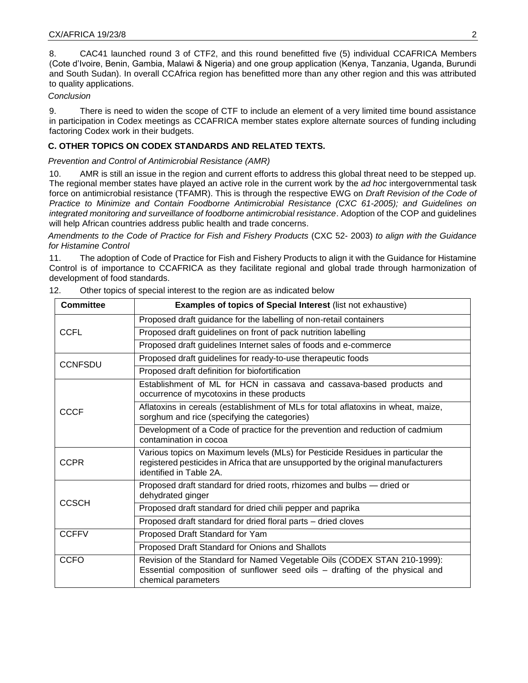8. CAC41 launched round 3 of CTF2, and this round benefitted five (5) individual CCAFRICA Members (Cote d'Ivoire, Benin, Gambia, Malawi & Nigeria) and one group application (Kenya, Tanzania, Uganda, Burundi and South Sudan). In overall CCAfrica region has benefitted more than any other region and this was attributed to quality applications.

#### *Conclusion*

9. There is need to widen the scope of CTF to include an element of a very limited time bound assistance in participation in Codex meetings as CCAFRICA member states explore alternate sources of funding including factoring Codex work in their budgets.

# **C. OTHER TOPICS ON CODEX STANDARDS AND RELATED TEXTS.**

*Prevention and Control of Antimicrobial Resistance (AMR)*

10. AMR is still an issue in the region and current efforts to address this global threat need to be stepped up. The regional member states have played an active role in the current work by the *ad hoc* intergovernmental task force on antimicrobial resistance (TFAMR). This is through the respective EWG on *Draft Revision of the Code of Practice to Minimize and Contain Foodborne Antimicrobial Resistance (CXC 61-2005); and Guidelines on integrated monitoring and surveillance of foodborne antimicrobial resistance*. Adoption of the COP and guidelines will help African countries address public health and trade concerns.

*Amendments to the Code of Practice for Fish and Fishery Products* (CXC 52- 2003) *to align with the Guidance for Histamine Control* 

11. The adoption of Code of Practice for Fish and Fishery Products to align it with the Guidance for Histamine Control is of importance to CCAFRICA as they facilitate regional and global trade through harmonization of development of food standards.

| <b>Committee</b> | <b>Examples of topics of Special Interest (list not exhaustive)</b>                                                                                                                              |  |  |  |
|------------------|--------------------------------------------------------------------------------------------------------------------------------------------------------------------------------------------------|--|--|--|
|                  | Proposed draft guidance for the labelling of non-retail containers                                                                                                                               |  |  |  |
| <b>CCFL</b>      | Proposed draft guidelines on front of pack nutrition labelling                                                                                                                                   |  |  |  |
|                  | Proposed draft guidelines Internet sales of foods and e-commerce                                                                                                                                 |  |  |  |
| <b>CCNFSDU</b>   | Proposed draft guidelines for ready-to-use therapeutic foods                                                                                                                                     |  |  |  |
|                  | Proposed draft definition for biofortification                                                                                                                                                   |  |  |  |
| <b>CCCF</b>      | Establishment of ML for HCN in cassava and cassava-based products and<br>occurrence of mycotoxins in these products                                                                              |  |  |  |
|                  | Aflatoxins in cereals (establishment of MLs for total aflatoxins in wheat, maize,<br>sorghum and rice (specifying the categories)                                                                |  |  |  |
|                  | Development of a Code of practice for the prevention and reduction of cadmium<br>contamination in cocoa                                                                                          |  |  |  |
| <b>CCPR</b>      | Various topics on Maximum levels (MLs) for Pesticide Residues in particular the<br>registered pesticides in Africa that are unsupported by the original manufacturers<br>identified in Table 2A. |  |  |  |
|                  | Proposed draft standard for dried roots, rhizomes and bulbs - dried or<br>dehydrated ginger                                                                                                      |  |  |  |
| <b>CCSCH</b>     | Proposed draft standard for dried chili pepper and paprika                                                                                                                                       |  |  |  |
|                  | Proposed draft standard for dried floral parts - dried cloves                                                                                                                                    |  |  |  |
| <b>CCFFV</b>     | Proposed Draft Standard for Yam                                                                                                                                                                  |  |  |  |
|                  | Proposed Draft Standard for Onions and Shallots                                                                                                                                                  |  |  |  |
| <b>CCFO</b>      | Revision of the Standard for Named Vegetable Oils (CODEX STAN 210-1999):<br>Essential composition of sunflower seed oils - drafting of the physical and<br>chemical parameters                   |  |  |  |

| 12. | Other topics of special interest to the region are as indicated below |  |
|-----|-----------------------------------------------------------------------|--|
|     |                                                                       |  |